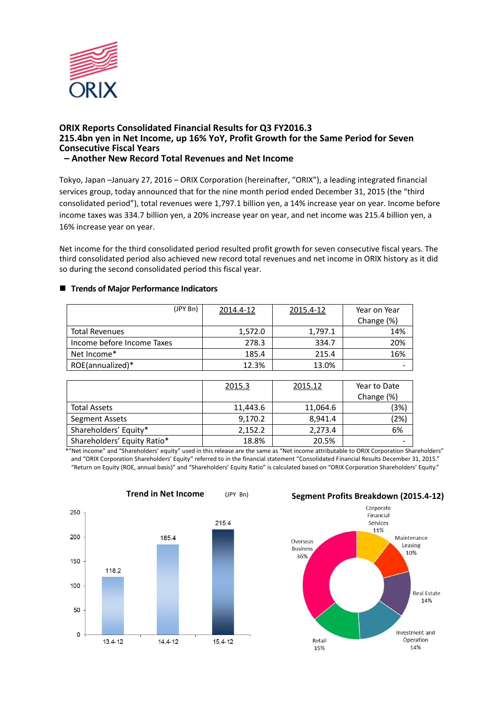

## **ORIX Reports Consolidated Financial Results for Q3 FY2016.3 215.4bn yen in Net Income, up 16% YoY, Profit Growth for the Same Period for Seven Consecutive Fiscal Years – Another New Record Total Revenues and Net Income**

Tokyo, Japan –January 27, 2016 – ORIX Corporation (hereinafter, "ORIX"), a leading integrated financial services group, today announced that for the nine month period ended December 31, 2015 (the "third consolidated period"), total revenues were 1,797.1 billion yen, a 14% increase year on year. Income before income taxes was 334.7 billion yen, a 20% increase year on year, and net income was 215.4 billion yen, a 16% increase year on year.

Net income for the third consolidated period resulted profit growth for seven consecutive fiscal years. The third consolidated period also achieved new record total revenues and net income in ORIX history as it did so during the second consolidated period this fiscal year.

# ■ **Trends of Major Performance Indicators**

| (JPY Bn)                   | 2014.4-12 | 2015.4-12 | Year on Year |
|----------------------------|-----------|-----------|--------------|
|                            |           |           | Change (%)   |
| <b>Total Revenues</b>      | 1,572.0   | 1,797.1   | 14%          |
| Income before Income Taxes | 278.3     | 334.7     | 20%          |
| Net Income*                | 185.4     | 215.4     | 16%          |
| ROE(annualized)*           | 12.3%     | 13.0%     |              |

|                             | 2015.3   | 2015.12  | Year to Date |
|-----------------------------|----------|----------|--------------|
|                             |          |          | Change (%)   |
| <b>Total Assets</b>         | 11,443.6 | 11,064.6 | (3%)         |
| Segment Assets              | 9,170.2  | 8.941.4  | (2%)         |
| Shareholders' Equity*       | 2,152.2  | 2,273.4  | 6%           |
| Shareholders' Equity Ratio* | 18.8%    | 20.5%    |              |

\*"Net income" and "Shareholders' equity" used in this release are the same as "Net income attributable to ORIX Corporation Shareholders" and "ORIX Corporation Shareholders' Equity" referred to in the financial statement "Consolidated Financial Results December 31, 2015." "Return on Equity (ROE, annual basis)" and "Shareholders' Equity Ratio" is calculated based on "ORIX Corporation Shareholders' Equity."





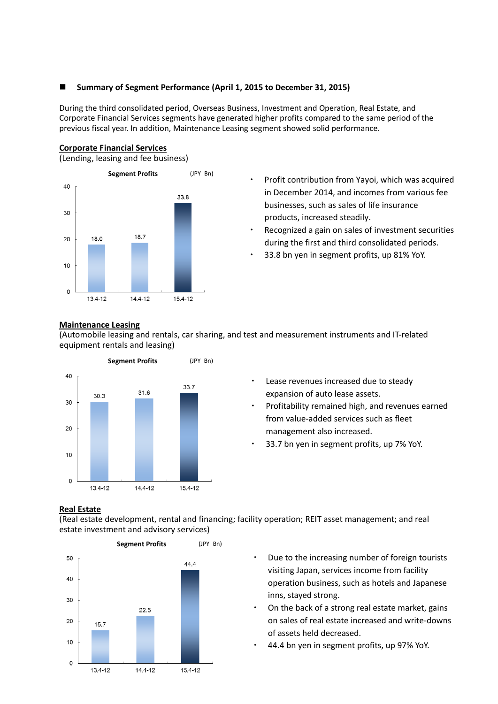# **Summary of Segment Performance (April 1, 2015 to December 31, 2015)**

During the third consolidated period, Overseas Business, Investment and Operation, Real Estate, and Corporate Financial Services segments have generated higher profits compared to the same period of the previous fiscal year. In addition, Maintenance Leasing segment showed solid performance.

#### **Corporate Financial Services**

(Lending, leasing and fee business)



- ・ Profit contribution from Yayoi, which was acquired in December 2014, and incomes from various fee businesses, such as sales of life insurance products, increased steadily.
- Recognized a gain on sales of investment securities during the first and third consolidated periods.
- 33.8 bn yen in segment profits, up 81% YoY.

## **Maintenance Leasing**

(Automobile leasing and rentals, car sharing, and test and measurement instruments and IT-related equipment rentals and leasing)



- Lease revenues increased due to steady expansion of auto lease assets.
- Profitability remained high, and revenues earned from value-added services such as fleet management also increased.
- 33.7 bn yen in segment profits, up 7% YoY.

#### **Real Estate**

(Real estate development, rental and financing; facility operation; REIT asset management; and real estate investment and advisory services)



- Due to the increasing number of foreign tourists visiting Japan, services income from facility operation business, such as hotels and Japanese inns, stayed strong.
- On the back of a strong real estate market, gains on sales of real estate increased and write-downs of assets held decreased.
- 44.4 bn yen in segment profits, up 97% YoY.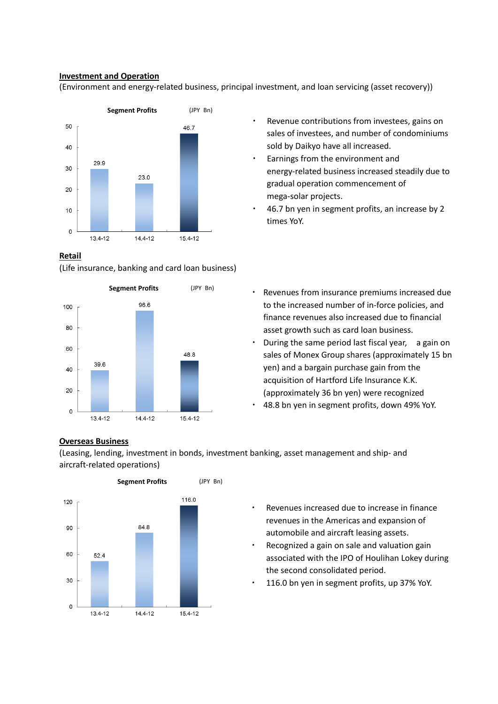# **Investment and Operation**

(Environment and energy-related business, principal investment, and loan servicing (asset recovery))



## **Retail**

(Life insurance, banking and card loan business)



- Revenue contributions from investees, gains on sales of investees, and number of condominiums sold by Daikyo have all increased.
- Earnings from the environment and energy-related business increased steadily due to gradual operation commencement of mega-solar projects.
- 46.7 bn yen in segment profits, an increase by 2 times YoY.
- ・ Revenues from insurance premiums increased due to the increased number of in-force policies, and finance revenues also increased due to financial asset growth such as card loan business.
- During the same period last fiscal year, a gain on sales of Monex Group shares (approximately 15 bn yen) and a bargain purchase gain from the acquisition of Hartford Life Insurance K.K. (approximately 36 bn yen) were recognized
- 48.8 bn yen in segment profits, down 49% YoY.

# **Overseas Business**

(Leasing, lending, investment in bonds, investment banking, asset management and ship- and aircraft-related operations)



- Revenues increased due to increase in finance revenues in the Americas and expansion of automobile and aircraft leasing assets.
- Recognized a gain on sale and valuation gain associated with the IPO of Houlihan Lokey during the second consolidated period.
- 116.0 bn yen in segment profits, up 37% YoY.